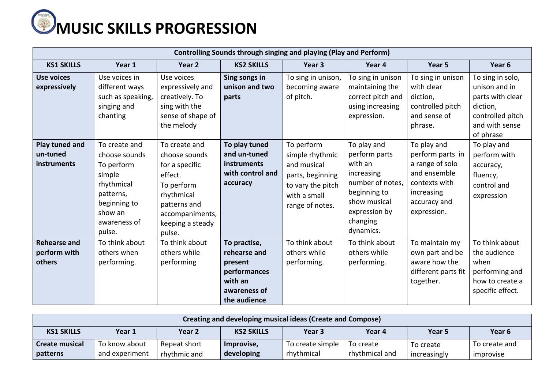

| <b>Controlling Sounds through singing and playing (Play and Perform)</b> |                                                                                                                                        |                                                                                                                                                          |                                                                                                    |                                                                                                                          |                                                                                                                                                     |                                                                                                                                  |                                                                                                                      |  |  |
|--------------------------------------------------------------------------|----------------------------------------------------------------------------------------------------------------------------------------|----------------------------------------------------------------------------------------------------------------------------------------------------------|----------------------------------------------------------------------------------------------------|--------------------------------------------------------------------------------------------------------------------------|-----------------------------------------------------------------------------------------------------------------------------------------------------|----------------------------------------------------------------------------------------------------------------------------------|----------------------------------------------------------------------------------------------------------------------|--|--|
| <b>KS1 SKILLS</b>                                                        | Year 1                                                                                                                                 | Year 2                                                                                                                                                   | <b>KS2 SKILLS</b>                                                                                  | Year <sub>3</sub>                                                                                                        | Year 4                                                                                                                                              | Year 5                                                                                                                           | Year 6                                                                                                               |  |  |
| <b>Use voices</b><br>expressively                                        | Use voices in<br>different ways<br>such as speaking,<br>singing and<br>chanting                                                        | Use voices<br>expressively and<br>creatively. To<br>sing with the<br>sense of shape of<br>the melody                                                     | Sing songs in<br>unison and two<br>parts                                                           | To sing in unison,<br>becoming aware<br>of pitch.                                                                        | To sing in unison<br>maintaining the<br>correct pitch and<br>using increasing<br>expression.                                                        | To sing in unison<br>with clear<br>diction,<br>controlled pitch<br>and sense of<br>phrase.                                       | To sing in solo,<br>unison and in<br>parts with clear<br>diction,<br>controlled pitch<br>and with sense<br>of phrase |  |  |
| Play tuned and<br>un-tuned<br>instruments                                | To create and<br>choose sounds<br>To perform<br>simple<br>rhythmical<br>patterns,<br>beginning to<br>show an<br>awareness of<br>pulse. | To create and<br>choose sounds<br>for a specific<br>effect.<br>To perform<br>rhythmical<br>patterns and<br>accompaniments,<br>keeping a steady<br>pulse. | To play tuned<br>and un-tuned<br>instruments<br>with control and<br>accuracy                       | To perform<br>simple rhythmic<br>and musical<br>parts, beginning<br>to vary the pitch<br>with a small<br>range of notes. | To play and<br>perform parts<br>with an<br>increasing<br>number of notes,<br>beginning to<br>show musical<br>expression by<br>changing<br>dynamics. | To play and<br>perform parts in<br>a range of solo<br>and ensemble<br>contexts with<br>increasing<br>accuracy and<br>expression. | To play and<br>perform with<br>accuracy,<br>fluency,<br>control and<br>expression                                    |  |  |
| <b>Rehearse and</b><br>perform with<br>others                            | To think about<br>others when<br>performing.                                                                                           | To think about<br>others while<br>performing                                                                                                             | To practise,<br>rehearse and<br>present<br>performances<br>with an<br>awareness of<br>the audience | To think about<br>others while<br>performing.                                                                            | To think about<br>others while<br>performing.                                                                                                       | To maintain my<br>own part and be<br>aware how the<br>different parts fit<br>together.                                           | To think about<br>the audience<br>when<br>performing and<br>how to create a<br>specific effect.                      |  |  |

| Creating and developing musical ideas (Create and Compose) |                                                                                          |              |            |                  |                |              |               |  |  |
|------------------------------------------------------------|------------------------------------------------------------------------------------------|--------------|------------|------------------|----------------|--------------|---------------|--|--|
| <b>KS1 SKILLS</b>                                          | Year <sub>6</sub><br><b>KS2 SKILLS</b><br>Year 1<br>Year 3<br>Year 2<br>Year 4<br>Year 5 |              |            |                  |                |              |               |  |  |
| Create musical                                             | To know about                                                                            | Repeat short | Improvise, | To create simple | To create      | To create    | To create and |  |  |
| patterns                                                   | and experiment                                                                           | rhythmic and | developing | rhythmical       | rhythmical and | increasingly | improvise     |  |  |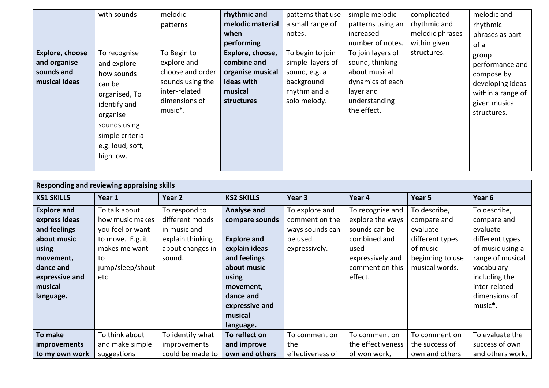|                        | with sounds      | melodic          | rhythmic and     | patterns that use | simple melodic    | complicated     | melodic and       |
|------------------------|------------------|------------------|------------------|-------------------|-------------------|-----------------|-------------------|
|                        |                  | patterns         | melodic material | a small range of  | patterns using an | rhythmic and    | rhythmic          |
|                        |                  |                  | when             | notes.            | increased         | melodic phrases | phrases as part   |
|                        |                  |                  | performing       |                   | number of notes.  | within given    | of a              |
| <b>Explore, choose</b> | To recognise     | To Begin to      | Explore, choose, | To begin to join  | To join layers of | structures.     | group             |
| and organise           | and explore      | explore and      | combine and      | simple layers of  | sound, thinking   |                 | performance and   |
| sounds and             | how sounds       | choose and order | organise musical | sound, e.g. a     | about musical     |                 | compose by        |
| musical ideas          | can be           | sounds using the | ideas with       | background        | dynamics of each  |                 | developing ideas  |
|                        | organised, To    | inter-related    | musical          | rhythm and a      | layer and         |                 | within a range of |
|                        | identify and     | dimensions of    | structures       | solo melody.      | understanding     |                 | given musical     |
|                        | organise         | music*.          |                  |                   | the effect.       |                 | structures.       |
|                        | sounds using     |                  |                  |                   |                   |                 |                   |
|                        | simple criteria  |                  |                  |                   |                   |                 |                   |
|                        |                  |                  |                  |                   |                   |                 |                   |
|                        | e.g. loud, soft, |                  |                  |                   |                   |                 |                   |
|                        | high low.        |                  |                  |                   |                   |                 |                   |
|                        |                  |                  |                  |                   |                   |                 |                   |

| Responding and reviewing appraising skills                                                                                                      |                                                                                                                            |                                                                                                    |                                                                                                                                                          |                                                                                 |                                                                                                                                 |                                                                                                              |                                                                                                                                                                                             |  |  |
|-------------------------------------------------------------------------------------------------------------------------------------------------|----------------------------------------------------------------------------------------------------------------------------|----------------------------------------------------------------------------------------------------|----------------------------------------------------------------------------------------------------------------------------------------------------------|---------------------------------------------------------------------------------|---------------------------------------------------------------------------------------------------------------------------------|--------------------------------------------------------------------------------------------------------------|---------------------------------------------------------------------------------------------------------------------------------------------------------------------------------------------|--|--|
| <b>KS1 SKILLS</b>                                                                                                                               | Year 1                                                                                                                     | Year 2                                                                                             | <b>KS2 SKILLS</b>                                                                                                                                        | Year 3                                                                          | Year 4                                                                                                                          | Year 5                                                                                                       | Year 6                                                                                                                                                                                      |  |  |
| <b>Explore and</b><br>express ideas<br>and feelings<br>about music<br>using<br>movement,<br>dance and<br>expressive and<br>musical<br>language. | To talk about<br>how music makes<br>you feel or want<br>to move. E.g. it<br>makes me want<br>to<br>jump/sleep/shout<br>etc | To respond to<br>different moods<br>in music and<br>explain thinking<br>about changes in<br>sound. | Analyse and<br>compare sounds<br><b>Explore and</b><br>explain ideas<br>and feelings<br>about music<br>using<br>movement,<br>dance and<br>expressive and | To explore and<br>comment on the<br>ways sounds can<br>be used<br>expressively. | To recognise and<br>explore the ways<br>sounds can be<br>combined and<br>used<br>expressively and<br>comment on this<br>effect. | To describe,<br>compare and<br>evaluate<br>different types<br>of music<br>beginning to use<br>musical words. | To describe,<br>compare and<br>evaluate<br>different types<br>of music using a<br>range of musical<br>vocabulary<br>including the<br>inter-related<br>dimensions of<br>music <sup>*</sup> . |  |  |
|                                                                                                                                                 |                                                                                                                            |                                                                                                    | musical<br>language.                                                                                                                                     |                                                                                 |                                                                                                                                 |                                                                                                              |                                                                                                                                                                                             |  |  |
| To make                                                                                                                                         | To think about                                                                                                             | To identify what                                                                                   | To reflect on                                                                                                                                            | To comment on                                                                   | To comment on                                                                                                                   | To comment on                                                                                                | To evaluate the                                                                                                                                                                             |  |  |
| <i>improvements</i>                                                                                                                             | and make simple                                                                                                            | improvements                                                                                       | and improve                                                                                                                                              | the                                                                             | the effectiveness                                                                                                               | the success of                                                                                               | success of own                                                                                                                                                                              |  |  |
| to my own work                                                                                                                                  | suggestions                                                                                                                | could be made to                                                                                   | own and others                                                                                                                                           | effectiveness of                                                                | of won work,                                                                                                                    | own and others                                                                                               | and others work,                                                                                                                                                                            |  |  |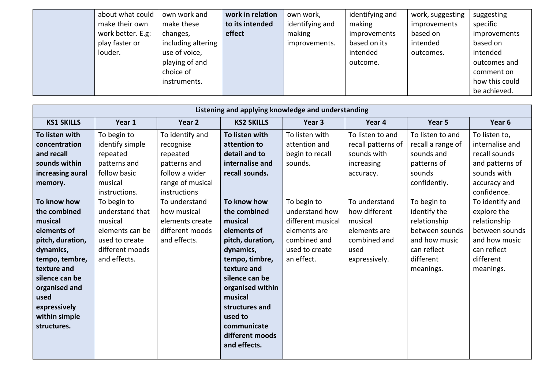| about what could  | own work and       | work in relation | own work,       | identifying and | work, suggesting | suggesting     |
|-------------------|--------------------|------------------|-----------------|-----------------|------------------|----------------|
| make their own    | make these         | to its intended  | identifying and | making          | improvements     | specific       |
| work better. E.g: | changes,           | effect           | making          | improvements    | based on         | improvements   |
| play faster or    | including altering |                  | improvements.   | based on its    | intended         | based on       |
| louder.           | use of voice,      |                  |                 | intended        | outcomes.        | intended       |
|                   | playing of and     |                  |                 | outcome.        |                  | outcomes and   |
|                   | choice of          |                  |                 |                 |                  | comment on     |
|                   | instruments.       |                  |                 |                 |                  | how this could |
|                   |                    |                  |                 |                 |                  | be achieved.   |

| Listening and applying knowledge and understanding                                                                                                                                                                 |                                                                                                                   |                                                                                                                |                                                                                                                                                                                                                                                         |                                                                                                                    |                                                                                                    |                                                                                                                         |                                                                                                                            |  |  |
|--------------------------------------------------------------------------------------------------------------------------------------------------------------------------------------------------------------------|-------------------------------------------------------------------------------------------------------------------|----------------------------------------------------------------------------------------------------------------|---------------------------------------------------------------------------------------------------------------------------------------------------------------------------------------------------------------------------------------------------------|--------------------------------------------------------------------------------------------------------------------|----------------------------------------------------------------------------------------------------|-------------------------------------------------------------------------------------------------------------------------|----------------------------------------------------------------------------------------------------------------------------|--|--|
| <b>KS1 SKILLS</b>                                                                                                                                                                                                  | Year 1                                                                                                            | Year 2                                                                                                         | <b>KS2 SKILLS</b>                                                                                                                                                                                                                                       | Year 3                                                                                                             | Year 4                                                                                             | Year 5                                                                                                                  | Year 6                                                                                                                     |  |  |
| To listen with<br>concentration<br>and recall<br>sounds within<br>increasing aural<br>memory.                                                                                                                      | To begin to<br>identify simple<br>repeated<br>patterns and<br>follow basic<br>musical<br>instructions.            | To identify and<br>recognise<br>repeated<br>patterns and<br>follow a wider<br>range of musical<br>instructions | To listen with<br>attention to<br>detail and to<br>internalise and<br>recall sounds.                                                                                                                                                                    | To listen with<br>attention and<br>begin to recall<br>sounds.                                                      | To listen to and<br>recall patterns of<br>sounds with<br>increasing<br>accuracy.                   | To listen to and<br>recall a range of<br>sounds and<br>patterns of<br>sounds<br>confidently.                            | To listen to,<br>internalise and<br>recall sounds<br>and patterns of<br>sounds with<br>accuracy and<br>confidence.         |  |  |
| To know how<br>the combined<br>musical<br>elements of<br>pitch, duration,<br>dynamics,<br>tempo, tembre,<br>texture and<br>silence can be<br>organised and<br>used<br>expressively<br>within simple<br>structures. | To begin to<br>understand that<br>musical<br>elements can be<br>used to create<br>different moods<br>and effects. | To understand<br>how musical<br>elements create<br>different moods<br>and effects.                             | To know how<br>the combined<br>musical<br>elements of<br>pitch, duration,<br>dynamics,<br>tempo, timbre,<br>texture and<br>silence can be<br>organised within<br>musical<br>structures and<br>used to<br>communicate<br>different moods<br>and effects. | To begin to<br>understand how<br>different musical<br>elements are<br>combined and<br>used to create<br>an effect. | To understand<br>how different<br>musical<br>elements are<br>combined and<br>used<br>expressively. | To begin to<br>identify the<br>relationship<br>between sounds<br>and how music<br>can reflect<br>different<br>meanings. | To identify and<br>explore the<br>relationship<br>between sounds<br>and how music<br>can reflect<br>different<br>meanings. |  |  |